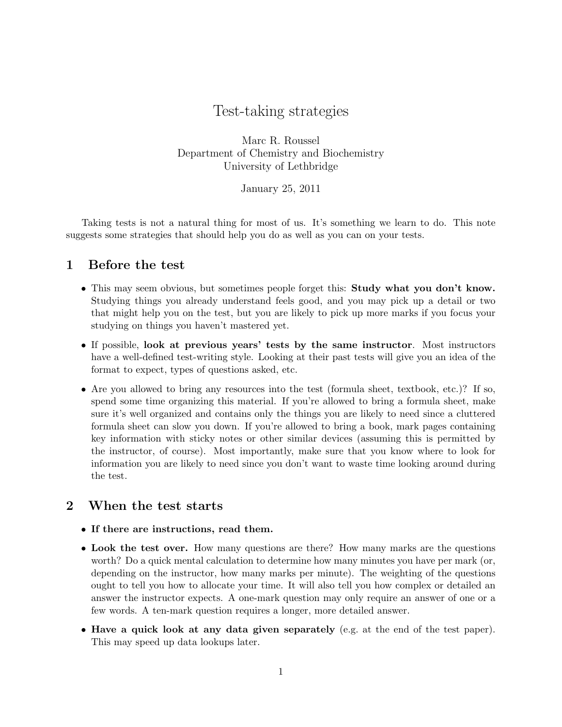## Test-taking strategies

Marc R. Roussel Department of Chemistry and Biochemistry University of Lethbridge

January 25, 2011

Taking tests is not a natural thing for most of us. It's something we learn to do. This note suggests some strategies that should help you do as well as you can on your tests.

## 1 Before the test

- This may seem obvious, but sometimes people forget this: **Study what you don't know.** Studying things you already understand feels good, and you may pick up a detail or two that might help you on the test, but you are likely to pick up more marks if you focus your studying on things you haven't mastered yet.
- If possible, look at previous years' tests by the same instructor. Most instructors have a well-defined test-writing style. Looking at their past tests will give you an idea of the format to expect, types of questions asked, etc.
- Are you allowed to bring any resources into the test (formula sheet, textbook, etc.)? If so, spend some time organizing this material. If you're allowed to bring a formula sheet, make sure it's well organized and contains only the things you are likely to need since a cluttered formula sheet can slow you down. If you're allowed to bring a book, mark pages containing key information with sticky notes or other similar devices (assuming this is permitted by the instructor, of course). Most importantly, make sure that you know where to look for information you are likely to need since you don't want to waste time looking around during the test.

## 2 When the test starts

- If there are instructions, read them.
- Look the test over. How many questions are there? How many marks are the questions worth? Do a quick mental calculation to determine how many minutes you have per mark (or, depending on the instructor, how many marks per minute). The weighting of the questions ought to tell you how to allocate your time. It will also tell you how complex or detailed an answer the instructor expects. A one-mark question may only require an answer of one or a few words. A ten-mark question requires a longer, more detailed answer.
- Have a quick look at any data given separately (e.g. at the end of the test paper). This may speed up data lookups later.